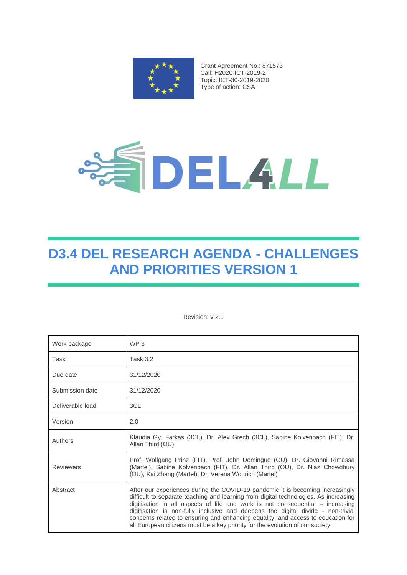

Grant Agreement No.: 871573 Call: H2020-ICT-2019-2 Topic: ICT-30-2019-2020 Type of action: CSA



# **D3.4 DEL RESEARCH AGENDA - CHALLENGES AND PRIORITIES VERSION 1**

Revision: v.2.1

| Work package     | WP <sub>3</sub>                                                                                                                                                                                                                                                                                                                                                                                                                                                                                                    |
|------------------|--------------------------------------------------------------------------------------------------------------------------------------------------------------------------------------------------------------------------------------------------------------------------------------------------------------------------------------------------------------------------------------------------------------------------------------------------------------------------------------------------------------------|
| Task             | <b>Task 3.2</b>                                                                                                                                                                                                                                                                                                                                                                                                                                                                                                    |
| Due date         | 31/12/2020                                                                                                                                                                                                                                                                                                                                                                                                                                                                                                         |
| Submission date  | 31/12/2020                                                                                                                                                                                                                                                                                                                                                                                                                                                                                                         |
| Deliverable lead | 3CL                                                                                                                                                                                                                                                                                                                                                                                                                                                                                                                |
| Version          | 2.0                                                                                                                                                                                                                                                                                                                                                                                                                                                                                                                |
| Authors          | Klaudia Gy. Farkas (3CL), Dr. Alex Grech (3CL), Sabine Kolvenbach (FIT), Dr.<br>Allan Third (OU)                                                                                                                                                                                                                                                                                                                                                                                                                   |
| <b>Reviewers</b> | Prof. Wolfgang Prinz (FIT), Prof. John Domingue (OU), Dr. Giovanni Rimassa<br>(Martel), Sabine Kolvenbach (FIT), Dr. Allan Third (OU), Dr. Niaz Chowdhury<br>(OU), Kai Zhang (Martel), Dr. Verena Wottrich (Martel)                                                                                                                                                                                                                                                                                                |
| Abstract         | After our experiences during the COVID-19 pandemic it is becoming increasingly<br>difficult to separate teaching and learning from digital technologies. As increasing<br>digitisation in all aspects of life and work is not consequential – increasing<br>digitisation is non-fully inclusive and deepens the digital divide - non-trivial<br>concerns related to ensuring and enhancing equality, and access to education for<br>all European citizens must be a key priority for the evolution of our society. |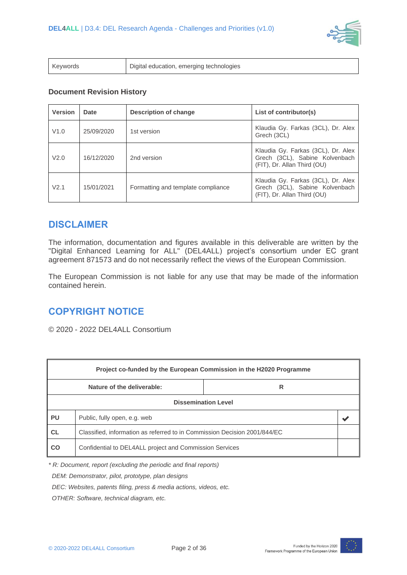

| Keywords | Digital education, emerging technologies |
|----------|------------------------------------------|
|----------|------------------------------------------|

#### **Document Revision History**

| <b>Version</b> | <b>Date</b> | <b>Description of change</b>       | List of contributor(s)                                                                              |  |
|----------------|-------------|------------------------------------|-----------------------------------------------------------------------------------------------------|--|
| V1.0           | 25/09/2020  | 1st version                        | Klaudia Gy. Farkas (3CL), Dr. Alex<br>Grech (3CL)                                                   |  |
| V2.0           | 16/12/2020  | 2nd version                        | Klaudia Gy. Farkas (3CL), Dr. Alex<br>Grech (3CL), Sabine Kolvenbach<br>(FIT), Dr. Allan Third (OU) |  |
| V2.1           | 15/01/2021  | Formatting and template compliance | Klaudia Gy. Farkas (3CL), Dr. Alex<br>Grech (3CL), Sabine Kolvenbach<br>(FIT), Dr. Allan Third (OU) |  |

### **DISCLAIMER**

The information, documentation and figures available in this deliverable are written by the "Digital Enhanced Learning for ALL" (DEL4ALL) project's consortium under EC grant agreement 871573 and do not necessarily reflect the views of the European Commission.

The European Commission is not liable for any use that may be made of the information contained herein.

### **COPYRIGHT NOTICE**

© 2020 - 2022 DEL4ALL Consortium

| Project co-funded by the European Commission in the H2020 Programme |                                                                           |  |  |  |
|---------------------------------------------------------------------|---------------------------------------------------------------------------|--|--|--|
| Nature of the deliverable:<br>R                                     |                                                                           |  |  |  |
| <b>Dissemination Level</b>                                          |                                                                           |  |  |  |
| <b>PU</b>                                                           | Public, fully open, e.g. web                                              |  |  |  |
| <b>CL</b>                                                           | Classified, information as referred to in Commission Decision 2001/844/EC |  |  |  |
| CO                                                                  | Confidential to DEL4ALL project and Commission Services                   |  |  |  |

*\* R: Document, report (excluding the periodic and final reports)*

 *DEM: Demonstrator, pilot, prototype, plan designs* 

 *DEC: Websites, patents filing, press & media actions, videos, etc.*

 *OTHER: Software, technical diagram, etc.*

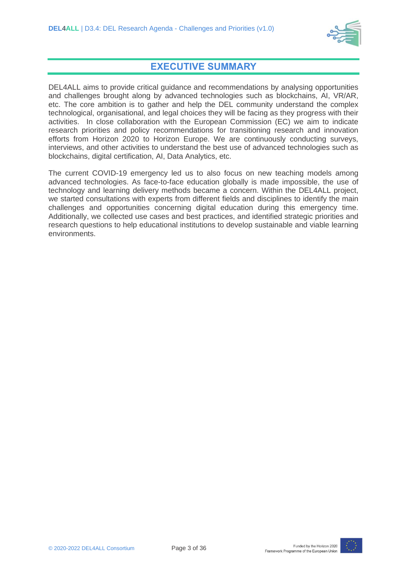

### **EXECUTIVE SUMMARY**

DEL4ALL aims to provide critical guidance and recommendations by analysing opportunities and challenges brought along by advanced technologies such as blockchains, AI, VR/AR, etc. The core ambition is to gather and help the DEL community understand the complex technological, organisational, and legal choices they will be facing as they progress with their activities. In close collaboration with the European Commission (EC) we aim to indicate research priorities and policy recommendations for transitioning research and innovation efforts from Horizon 2020 to Horizon Europe. We are continuously conducting surveys, interviews, and other activities to understand the best use of advanced technologies such as blockchains, digital certification, AI, Data Analytics, etc.

The current COVID-19 emergency led us to also focus on new teaching models among advanced technologies. As face-to-face education globally is made impossible, the use of technology and learning delivery methods became a concern. Within the DEL4ALL project, we started consultations with experts from different fields and disciplines to identify the main challenges and opportunities concerning digital education during this emergency time. Additionally, we collected use cases and best practices, and identified strategic priorities and research questions to help educational institutions to develop sustainable and viable learning environments.

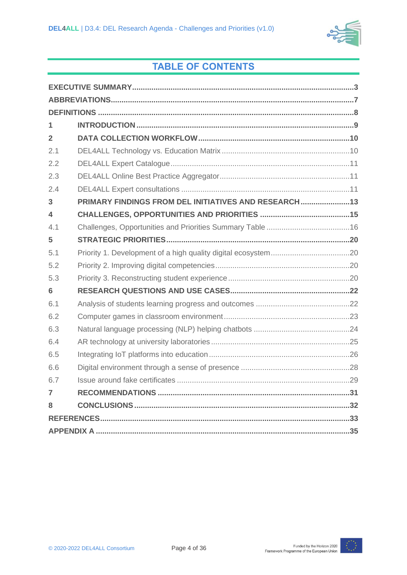

# **TABLE OF CONTENTS**

| 1              |                                                    |  |  |
|----------------|----------------------------------------------------|--|--|
| $\overline{2}$ |                                                    |  |  |
| 2.1            |                                                    |  |  |
| 2.2            |                                                    |  |  |
| 2.3            |                                                    |  |  |
| 2.4            |                                                    |  |  |
| 3              | PRIMARY FINDINGS FROM DEL INITIATIVES AND RESEARCH |  |  |
| 4              |                                                    |  |  |
| 4.1            |                                                    |  |  |
| 5              |                                                    |  |  |
| 5.1            |                                                    |  |  |
| 5.2            |                                                    |  |  |
| 5.3            |                                                    |  |  |
| 6              |                                                    |  |  |
| 6.1            |                                                    |  |  |
| 6.2            |                                                    |  |  |
| 6.3            |                                                    |  |  |
| 6.4            |                                                    |  |  |
| 6.5            |                                                    |  |  |
| 6.6            |                                                    |  |  |
| 6.7            |                                                    |  |  |
| $\overline{7}$ |                                                    |  |  |
| 8              |                                                    |  |  |
|                |                                                    |  |  |
|                |                                                    |  |  |

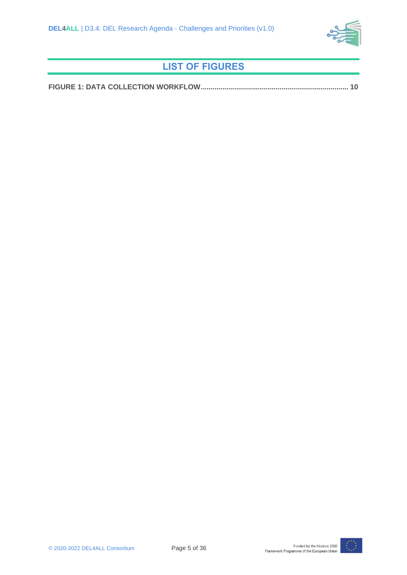

# **LIST OF FIGURES**

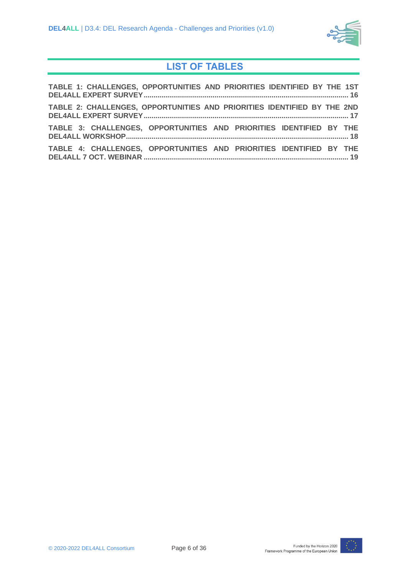

# **LIST OF TABLES**

| TABLE 1: CHALLENGES, OPPORTUNITIES AND PRIORITIES IDENTIFIED BY THE 1ST |  |  |  |
|-------------------------------------------------------------------------|--|--|--|
| TABLE 2: CHALLENGES, OPPORTUNITIES AND PRIORITIES IDENTIFIED BY THE 2ND |  |  |  |
| TABLE 3: CHALLENGES, OPPORTUNITIES AND PRIORITIES IDENTIFIED BY THE     |  |  |  |
| TABLE 4: CHALLENGES, OPPORTUNITIES AND PRIORITIES IDENTIFIED BY THE     |  |  |  |

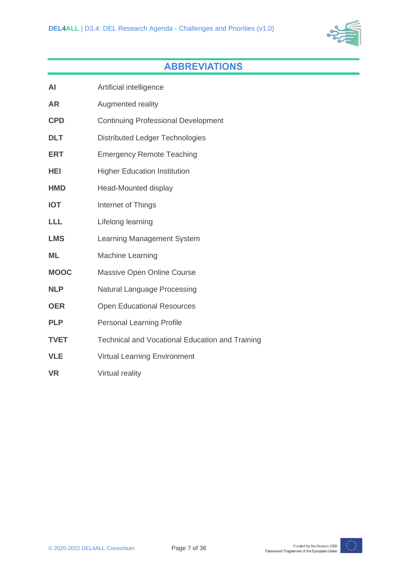

# **ABBREVIATIONS**

| AI          | Artificial intelligence                                |
|-------------|--------------------------------------------------------|
| <b>AR</b>   | Augmented reality                                      |
| <b>CPD</b>  | <b>Continuing Professional Development</b>             |
| <b>DLT</b>  | <b>Distributed Ledger Technologies</b>                 |
| <b>ERT</b>  | <b>Emergency Remote Teaching</b>                       |
| HEI         | <b>Higher Education Institution</b>                    |
| <b>HMD</b>  | Head-Mounted display                                   |
| <b>IOT</b>  | Internet of Things                                     |
| <b>LLL</b>  | Lifelong learning                                      |
| <b>LMS</b>  | Learning Management System                             |
| <b>ML</b>   | <b>Machine Learning</b>                                |
| <b>MOOC</b> | Massive Open Online Course                             |
| <b>NLP</b>  | <b>Natural Language Processing</b>                     |
| <b>OER</b>  | <b>Open Educational Resources</b>                      |
| <b>PLP</b>  | <b>Personal Learning Profile</b>                       |
| <b>TVET</b> | <b>Technical and Vocational Education and Training</b> |
| <b>VLE</b>  | <b>Virtual Learning Environment</b>                    |
| <b>VR</b>   | Virtual reality                                        |

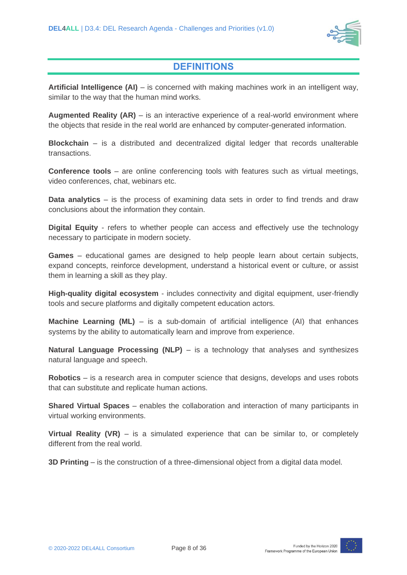

### **DEFINITIONS**

**Artificial Intelligence (AI)** – is concerned with making machines work in an intelligent way, similar to the way that the human mind works.

**Augmented Reality (AR)** – is an interactive experience of a real-world environment where the objects that reside in the real world are enhanced by computer-generated information.

**Blockchain** – is a distributed and decentralized digital ledger that records unalterable transactions.

**Conference tools** – are online conferencing tools with features such as virtual meetings, video conferences, chat, webinars etc.

**Data analytics** – is the process of examining data sets in order to find trends and draw conclusions about the information they contain.

**Digital Equity** - refers to whether people can access and effectively use the technology necessary to participate in modern society.

**Games** – educational games are designed to help people learn about certain subjects, expand concepts, reinforce development, understand a historical event or culture, or assist them in learning a skill as they play.

**High-quality digital ecosystem** - includes connectivity and digital equipment, user-friendly tools and secure platforms and digitally competent education actors.

**Machine Learning (ML)** – is a sub-domain of artificial intelligence (AI) that enhances systems by the ability to automatically learn and improve from experience.

**Natural Language Processing (NLP)** – is a technology that analyses and synthesizes natural language and speech.

**Robotics** – is a research area in computer science that designs, develops and uses robots that can substitute and replicate human actions.

**Shared Virtual Spaces** – enables the collaboration and interaction of many participants in virtual working environments.

**Virtual Reality (VR)** – is a simulated experience that can be similar to, or completely different from the real world.

**3D Printing** – is the construction of a three-dimensional object from a digital data model.

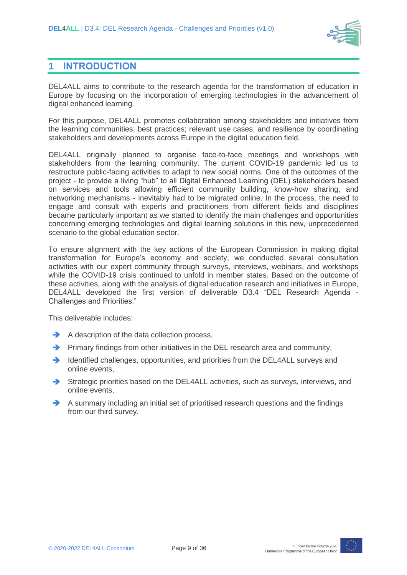

## **1 INTRODUCTION**

DEL4ALL aims to contribute to the research agenda for the transformation of education in Europe by focusing on the incorporation of emerging technologies in the advancement of digital enhanced learning.

For this purpose, DEL4ALL promotes collaboration among stakeholders and initiatives from the learning communities; best practices; relevant use cases; and resilience by coordinating stakeholders and developments across Europe in the digital education field.

DEL4ALL originally planned to organise face-to-face meetings and workshops with stakeholders from the learning community. The current COVID-19 pandemic led us to restructure public-facing activities to adapt to new social norms. One of the outcomes of the project - to provide a living "hub" to all Digital Enhanced Learning (DEL) stakeholders based on services and tools allowing efficient community building, know-how sharing, and networking mechanisms - inevitably had to be migrated online. In the process, the need to engage and consult with experts and practitioners from different fields and disciplines became particularly important as we started to identify the main challenges and opportunities concerning emerging technologies and digital learning solutions in this new, unprecedented scenario to the global education sector.

To ensure alignment with the key actions of the European Commission in making digital transformation for Europe's economy and society, we conducted several consultation activities with our expert community through surveys, interviews, webinars, and workshops while the COVID-19 crisis continued to unfold in member states. Based on the outcome of these activities, along with the analysis of digital education research and initiatives in Europe, DEL4ALL developed the first version of deliverable D3.4 "DEL Research Agenda - Challenges and Priorities."

This deliverable includes:

- **→** A description of the data collection process,
- ➔ Primary findings from other initiatives in the DEL research area and community,
- ➔ Identified challenges, opportunities, and priorities from the DEL4ALL surveys and online events,
- ➔ Strategic priorities based on the DEL4ALL activities, such as surveys, interviews, and online events,
- → A summary including an initial set of prioritised research questions and the findings from our third survey.

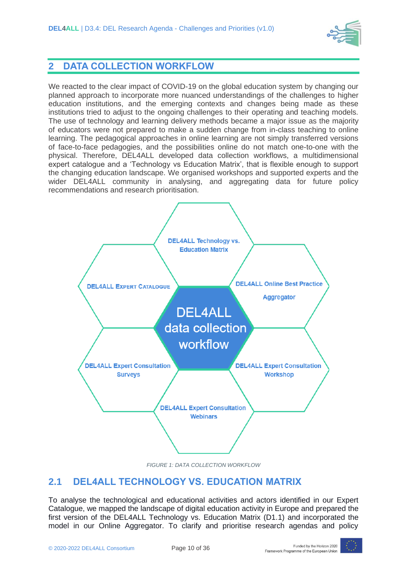

### **2 DATA COLLECTION WORKFLOW**

We reacted to the clear impact of COVID-19 on the global education system by changing our planned approach to incorporate more nuanced understandings of the challenges to higher education institutions, and the emerging contexts and changes being made as these institutions tried to adjust to the ongoing challenges to their operating and teaching models. The use of technology and learning delivery methods became a major issue as the majority of educators were not prepared to make a sudden change from in-class teaching to online learning. The pedagogical approaches in online learning are not simply transferred versions of face-to-face pedagogies, and the possibilities online do not match one-to-one with the physical. Therefore, DEL4ALL developed data collection workflows, a multidimensional expert catalogue and a 'Technology vs Education Matrix', that is flexible enough to support the changing education landscape. We organised workshops and supported experts and the wider DEL4ALL community in analysing, and aggregating data for future policy recommendations and research prioritisation.



*FIGURE 1: DATA COLLECTION WORKFLOW*

# **2.1 DEL4ALL TECHNOLOGY VS. EDUCATION MATRIX**

To analyse the technological and educational activities and actors identified in our Expert Catalogue, we mapped the landscape of digital education activity in Europe and prepared the first version of the DEL4ALL Technology vs. Education Matrix (D1.1) and incorporated the model in our Online Aggregator. To clarify and prioritise research agendas and policy

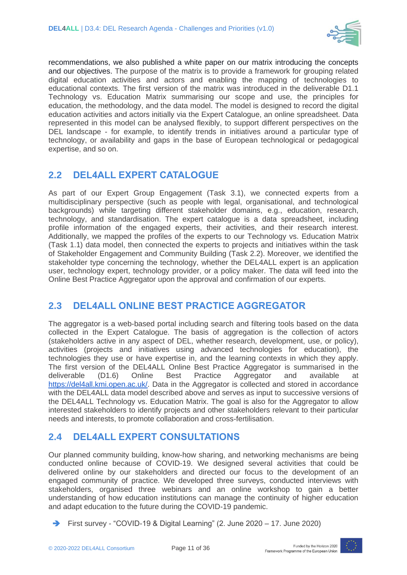

recommendations, we also published a white paper on our matrix introducing the concepts and our objectives. The purpose of the matrix is to provide a framework for grouping related digital education activities and actors and enabling the mapping of technologies to educational contexts. The first version of the matrix was introduced in the deliverable D1.1 Technology vs. Education Matrix summarising our scope and use, the principles for education, the methodology, and the data model. The model is designed to record the digital education activities and actors initially via the Expert Catalogue, an online spreadsheet. Data represented in this model can be analysed flexibly, to support different perspectives on the DEL landscape - for example, to identify trends in initiatives around a particular type of technology, or availability and gaps in the base of European technological or pedagogical expertise, and so on.

# **2.2 DEL4ALL EXPERT CATALOGUE**

As part of our Expert Group Engagement (Task 3.1), we connected experts from a multidisciplinary perspective (such as people with legal, organisational, and technological backgrounds) while targeting different stakeholder domains, e.g., education, research, technology, and standardisation. The expert catalogue is a data spreadsheet, including profile information of the engaged experts, their activities, and their research interest. Additionally, we mapped the profiles of the experts to our Technology vs. Education Matrix (Task 1.1) data model, then connected the experts to projects and initiatives within the task of Stakeholder Engagement and Community Building (Task 2.2). Moreover, we identified the stakeholder type concerning the technology, whether the DEL4ALL expert is an application user, technology expert, technology provider, or a policy maker. The data will feed into the Online Best Practice Aggregator upon the approval and confirmation of our experts.

# **2.3 DEL4ALL ONLINE BEST PRACTICE AGGREGATOR**

The aggregator is a web-based portal including search and filtering tools based on the data collected in the Expert Catalogue. The basis of aggregation is the collection of actors (stakeholders active in any aspect of DEL, whether research, development, use, or policy), activities (projects and initiatives using advanced technologies for education), the technologies they use or have expertise in, and the learning contexts in which they apply. The first version of the DEL4ALL Online Best Practice Aggregator is summarised in the deliverable (D1.6) Online Best Practice Aggregator and available at [https://del4all.kmi.open.ac.uk/.](https://del4all.kmi.open.ac.uk/) Data in the Aggregator is collected and stored in accordance with the DEL4ALL data model described above and serves as input to successive versions of the DEL4ALL Technology vs. Education Matrix. The goal is also for the Aggregator to allow interested stakeholders to identify projects and other stakeholders relevant to their particular needs and interests, to promote collaboration and cross-fertilisation.

# **2.4 DEL4ALL EXPERT CONSULTATIONS**

Our planned community building, know-how sharing, and networking mechanisms are being conducted online because of COVID-19. We designed several activities that could be delivered online by our stakeholders and directed our focus to the development of an engaged community of practice. We developed three surveys, conducted interviews with stakeholders, organised three webinars and an online workshop to gain a better understanding of how education institutions can manage the continuity of higher education and adapt education to the future during the COVID-19 pandemic.

➔ First survey - "COVID-19 & Digital Learning" (2. June 2020 – 17. June 2020)

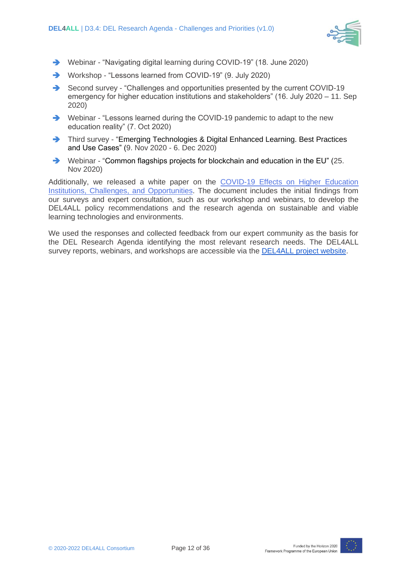

- ➔ Webinar "Navigating digital learning during COVID-19" (18. June 2020)
- ➔ Workshop "Lessons learned from COVID-19" (9. July 2020)
- ➔ Second survey "Challenges and opportunities presented by the current COVID-19 emergency for higher education institutions and stakeholders" (16. July 2020 – 11. Sep 2020)
- ➔ Webinar "Lessons learned during the COVID-19 pandemic to adapt to the new education reality" (7. Oct 2020)
- ➔ Third survey "Emerging Technologies & Digital Enhanced Learning. Best Practices and Use Cases" (9. Nov 2020 - 6. Dec 2020)
- ➔ Webinar "Common flagships projects for blockchain and education in the EU" (25. Nov 2020)

Additionally, we released a white paper on the [COVID-19 Effects on Higher Education](https://www.del4all.eu/wp-content/uploads/sites/59/2020/10/del4all_white-paper-covid-19-effects-on-higher-education-institutions-challenges-and-opportunities-1.pdf)  [Institutions, Challenges, and Opportunities.](https://www.del4all.eu/wp-content/uploads/sites/59/2020/10/del4all_white-paper-covid-19-effects-on-higher-education-institutions-challenges-and-opportunities-1.pdf) The document includes the initial findings from our surveys and expert consultation, such as our workshop and webinars, to develop the DEL4ALL policy recommendations and the research agenda on sustainable and viable learning technologies and environments.

We used the responses and collected feedback from our expert community as the basis for the DEL Research Agenda identifying the most relevant research needs. The DEL4ALL survey reports, webinars, and workshops are accessible via the [DEL4ALL project website.](https://www.del4all.eu/publications/)

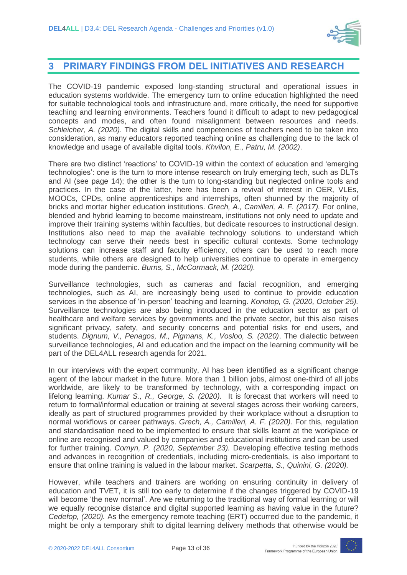

### **3 PRIMARY FINDINGS FROM DEL INITIATIVES AND RESEARCH**

The COVID-19 pandemic exposed long-standing structural and operational issues in education systems worldwide. The emergency turn to online education highlighted the need for suitable technological tools and infrastructure and, more critically, the need for supportive teaching and learning environments. Teachers found it difficult to adapt to new pedagogical concepts and modes, and often found misalignment between resources and needs. *Schleicher, A. (2020)*. The digital skills and competencies of teachers need to be taken into consideration, as many educators reported teaching online as challenging due to the lack of knowledge and usage of available digital tools. *Khvilon, E., Patru, M. (2002)*.

There are two distinct 'reactions' to COVID-19 within the context of education and 'emerging technologies': one is the turn to more intense research on truly emerging tech, such as DLTs and AI (see page 14); the other is the turn to long-standing but neglected online tools and practices. In the case of the latter, here has been a revival of interest in OER, VLEs, MOOCs, CPDs, online apprenticeships and internships, often shunned by the majority of bricks and mortar higher education institutions. *Grech, A., Camilleri, A. F. (2017).* For online, blended and hybrid learning to become mainstream, institutions not only need to update and improve their training systems within faculties, but dedicate resources to instructional design. Institutions also need to map the available technology solutions to understand which technology can serve their needs best in specific cultural contexts. Some technology solutions can increase staff and faculty efficiency, others can be used to reach more students, while others are designed to help universities continue to operate in emergency mode during the pandemic. *Burns, S., McCormack, M. (2020).* 

Surveillance technologies, such as cameras and facial recognition, and emerging technologies, such as AI, are increasingly being used to continue to provide education services in the absence of 'in-person' teaching and learning. *Konotop, G. (2020, October 25).* Surveillance technologies are also being introduced in the education sector as part of healthcare and welfare services by governments and the private sector, but this also raises significant privacy, safety, and security concerns and potential risks for end users, and students. *Dignum, V., Penagos, M., Pigmans, K., Vosloo, S. (2020)*. The dialectic between surveillance technologies, AI and education and the impact on the learning community will be part of the DEL4ALL research agenda for 2021.

In our interviews with the expert community, AI has been identified as a significant change agent of the labour market in the future. More than 1 billion jobs, almost one-third of all jobs worldwide, are likely to be transformed by technology, with a corresponding impact on lifelong learning. *Kumar S., R., George, S. (2020).* It is forecast that workers will need to return to formal/informal education or training at several stages across their working careers, ideally as part of structured programmes provided by their workplace without a disruption to normal workflows or career pathways. *Grech, A., Camilleri, A. F. (2020).* For this, regulation and standardisation need to be implemented to ensure that skills learnt at the workplace or online are recognised and valued by companies and educational institutions and can be used for further training. *Comyn, P. (2020, September 23).* Developing effective testing methods and advances in recognition of credentials, including micro-credentials, is also important to ensure that online training is valued in the labour market. *Scarpetta, S., Quinini, G. (2020).* 

However, while teachers and trainers are working on ensuring continuity in delivery of education and TVET, it is still too early to determine if the changes triggered by COVID-19 will become 'the new normal'. Are we returning to the traditional way of formal learning or will we equally recognise distance and digital supported learning as having value in the future? *Cedefop, (2020).* As the emergency remote teaching (ERT) occurred due to the pandemic, it might be only a temporary shift to digital learning delivery methods that otherwise would be

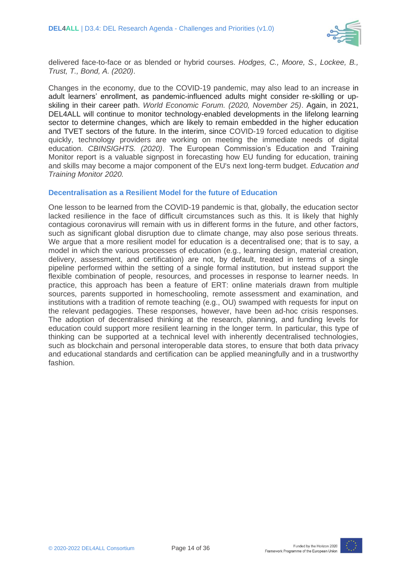

delivered face-to-face or as blended or hybrid courses. *Hodges, C., Moore, S., Lockee, B., Trust, T., Bond, A. (2020)*.

Changes in the economy, due to the COVID-19 pandemic, may also lead to an increase in adult learners' enrollment, as pandemic-influenced adults might consider re-skilling or upskiling in their career path. *World Economic Forum. (2020, November 25)*. Again, in 2021, DEL4ALL will continue to monitor technology-enabled developments in the lifelong learning sector to determine changes, which are likely to remain embedded in the higher education and TVET sectors of the future. In the interim, since COVID-19 forced education to digitise quickly, technology providers are working on meeting the immediate needs of digital education. *CBINSIGHTS. (2020)*. The European Commission's Education and Training Monitor report is a valuable signpost in forecasting how EU funding for education, training and skills may become a major component of the EU's next long-term budget. *Education and Training Monitor 2020.*

#### **Decentralisation as a Resilient Model for the future of Education**

One lesson to be learned from the COVID-19 pandemic is that, globally, the education sector lacked resilience in the face of difficult circumstances such as this. It is likely that highly contagious coronavirus will remain with us in different forms in the future, and other factors, such as significant global disruption due to climate change, may also pose serious threats. We argue that a more resilient model for education is a decentralised one; that is to say, a model in which the various processes of education (e.g., learning design, material creation, delivery, assessment, and certification) are not, by default, treated in terms of a single pipeline performed within the setting of a single formal institution, but instead support the flexible combination of people, resources, and processes in response to learner needs. In practice, this approach has been a feature of ERT: online materials drawn from multiple sources, parents supported in homeschooling, remote assessment and examination, and institutions with a tradition of remote teaching (e.g., OU) swamped with requests for input on the relevant pedagogies. These responses, however, have been ad-hoc crisis responses. The adoption of decentralised thinking at the research, planning, and funding levels for education could support more resilient learning in the longer term. In particular, this type of thinking can be supported at a technical level with inherently decentralised technologies, such as blockchain and personal interoperable data stores, to ensure that both data privacy and educational standards and certification can be applied meaningfully and in a trustworthy fashion.

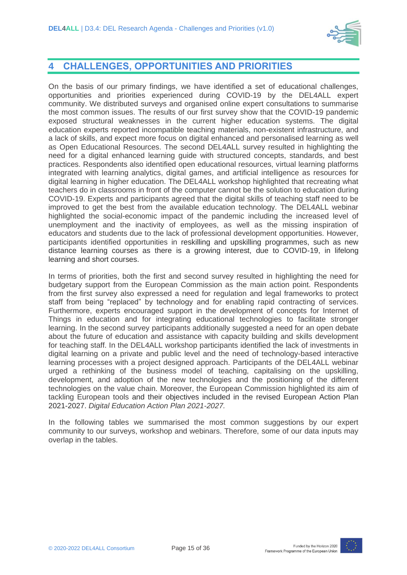

### **4 CHALLENGES, OPPORTUNITIES AND PRIORITIES**

On the basis of our primary findings, we have identified a set of educational challenges, opportunities and priorities experienced during COVID-19 by the DEL4ALL expert community. We distributed surveys and organised online expert consultations to summarise the most common issues. The results of our first survey show that the COVID-19 pandemic exposed structural weaknesses in the current higher education systems. The digital education experts reported incompatible teaching materials, non-existent infrastructure, and a lack of skills, and expect more focus on digital enhanced and personalised learning as well as Open Educational Resources. The second DEL4ALL survey resulted in highlighting the need for a digital enhanced learning guide with structured concepts, standards, and best practices. Respondents also identified open educational resources, virtual learning platforms integrated with learning analytics, digital games, and artificial intelligence as resources for digital learning in higher education. The DEL4ALL workshop highlighted that recreating what teachers do in classrooms in front of the computer cannot be the solution to education during COVID-19. Experts and participants agreed that the digital skills of teaching staff need to be improved to get the best from the available education technology. The DEL4ALL webinar highlighted the social-economic impact of the pandemic including the increased level of unemployment and the inactivity of employees, as well as the missing inspiration of educators and students due to the lack of professional development opportunities. However, participants identified opportunities in reskilling and upskilling programmes, such as new distance learning courses as there is a growing interest, due to COVID-19, in lifelong learning and short courses.

In terms of priorities, both the first and second survey resulted in highlighting the need for budgetary support from the European Commission as the main action point. Respondents from the first survey also expressed a need for regulation and legal frameworks to protect staff from being "replaced" by technology and for enabling rapid contracting of services. Furthermore, experts encouraged support in the development of concepts for Internet of Things in education and for integrating educational technologies to facilitate stronger learning. In the second survey participants additionally suggested a need for an open debate about the future of education and assistance with capacity building and skills development for teaching staff. In the DEL4ALL workshop participants identified the lack of investments in digital learning on a private and public level and the need of technology-based interactive learning processes with a project designed approach. Participants of the DEL4ALL webinar urged a rethinking of the business model of teaching, capitalising on the upskilling, development, and adoption of the new technologies and the positioning of the different technologies on the value chain. Moreover, the European Commission highlighted its aim of tackling European tools and their objectives included in the revised European Action Plan 2021-2027. *Digital Education Action Plan 2021-2027.*

In the following tables we summarised the most common suggestions by our expert community to our surveys, workshop and webinars. Therefore, some of our data inputs may overlap in the tables.

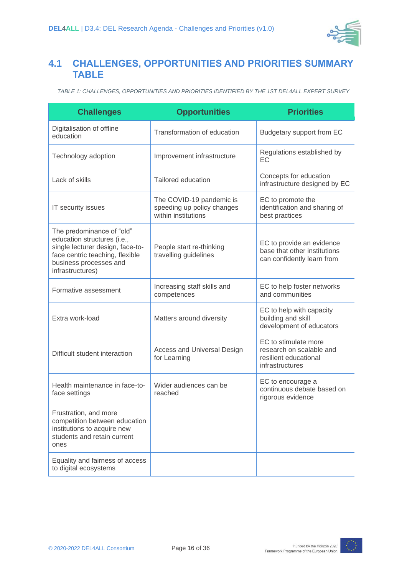

# **4.1 CHALLENGES, OPPORTUNITIES AND PRIORITIES SUMMARY TABLE**

*TABLE 1: CHALLENGES, OPPORTUNITIES AND PRIORITIES IDENTIFIED BY THE 1ST DEL4ALL EXPERT SURVEY*

| <b>Challenges</b>                                                                                                                                                             | <b>Opportunities</b>                                                          | <b>Priorities</b>                                                                            |
|-------------------------------------------------------------------------------------------------------------------------------------------------------------------------------|-------------------------------------------------------------------------------|----------------------------------------------------------------------------------------------|
| Digitalisation of offline<br>education                                                                                                                                        | Transformation of education                                                   | Budgetary support from EC                                                                    |
| Technology adoption                                                                                                                                                           | Improvement infrastructure                                                    | Regulations established by<br>EC                                                             |
| Lack of skills                                                                                                                                                                | <b>Tailored education</b>                                                     | Concepts for education<br>infrastructure designed by EC                                      |
| IT security issues                                                                                                                                                            | The COVID-19 pandemic is<br>speeding up policy changes<br>within institutions | EC to promote the<br>identification and sharing of<br>best practices                         |
| The predominance of "old"<br>education structures (i.e.,<br>single lecturer design, face-to-<br>face centric teaching, flexible<br>business processes and<br>infrastructures) | People start re-thinking<br>travelling guidelines                             | EC to provide an evidence<br>base that other institutions<br>can confidently learn from      |
| Formative assessment                                                                                                                                                          | Increasing staff skills and<br>competences                                    | EC to help foster networks<br>and communities                                                |
| Extra work-load                                                                                                                                                               | Matters around diversity                                                      | EC to help with capacity<br>building and skill<br>development of educators                   |
| Difficult student interaction                                                                                                                                                 | Access and Universal Design<br>for Learning                                   | EC to stimulate more<br>research on scalable and<br>resilient educational<br>infrastructures |
| Health maintenance in face-to-<br>face settings                                                                                                                               | Wider audiences can be<br>reached                                             | EC to encourage a<br>continuous debate based on<br>rigorous evidence                         |
| Frustration, and more<br>competition between education<br>institutions to acquire new<br>students and retain current<br>ones                                                  |                                                                               |                                                                                              |
| Equality and fairness of access<br>to digital ecosystems                                                                                                                      |                                                                               |                                                                                              |

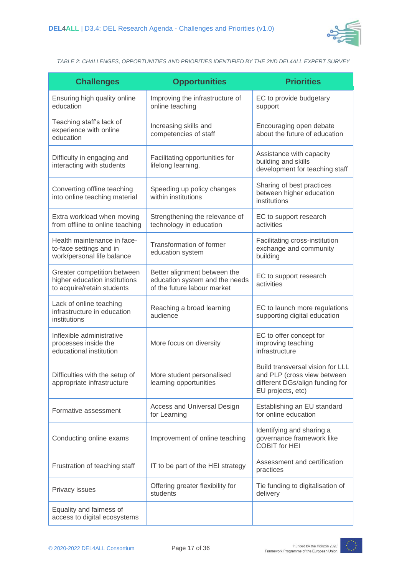

*TABLE 2: CHALLENGES, OPPORTUNITIES AND PRIORITIES IDENTIFIED BY THE 2ND DEL4ALL EXPERT SURVEY*

| <b>Challenges</b>                                                                          | <b>Opportunities</b>                                                                          | <b>Priorities</b>                                                                                                       |
|--------------------------------------------------------------------------------------------|-----------------------------------------------------------------------------------------------|-------------------------------------------------------------------------------------------------------------------------|
| Ensuring high quality online<br>education                                                  | Improving the infrastructure of<br>online teaching                                            | EC to provide budgetary<br>support                                                                                      |
| Teaching staff's lack of<br>experience with online<br>education                            | Increasing skills and<br>competencies of staff                                                | Encouraging open debate<br>about the future of education                                                                |
| Difficulty in engaging and<br>interacting with students                                    | Facilitating opportunities for<br>lifelong learning.                                          | Assistance with capacity<br>building and skills<br>development for teaching staff                                       |
| Converting offline teaching<br>into online teaching material                               | Speeding up policy changes<br>within institutions                                             | Sharing of best practices<br>between higher education<br>institutions                                                   |
| Extra workload when moving<br>from offline to online teaching                              | Strengthening the relevance of<br>technology in education                                     | EC to support research<br>activities                                                                                    |
| Health maintenance in face-<br>to-face settings and in<br>work/personal life balance       | Transformation of former<br>education system                                                  | Facilitating cross-institution<br>exchange and community<br>building                                                    |
| Greater competition between<br>higher education institutions<br>to acquire/retain students | Better alignment between the<br>education system and the needs<br>of the future labour market | EC to support research<br>activities                                                                                    |
| Lack of online teaching<br>infrastructure in education<br>institutions                     | Reaching a broad learning<br>audience                                                         | EC to launch more regulations<br>supporting digital education                                                           |
| Inflexible administrative<br>processes inside the<br>educational institution               | More focus on diversity                                                                       | EC to offer concept for<br>improving teaching<br>infrastructure                                                         |
| Difficulties with the setup of<br>appropriate infrastructure                               | More student personalised<br>learning opportunities                                           | Build transversal vision for LLL<br>and PLP (cross view between<br>different DGs/align funding for<br>EU projects, etc) |
| Formative assessment                                                                       | <b>Access and Universal Design</b><br>for Learning                                            | Establishing an EU standard<br>for online education                                                                     |
| Conducting online exams                                                                    | Improvement of online teaching                                                                | Identifying and sharing a<br>governance framework like<br><b>COBIT for HEI</b>                                          |
| Frustration of teaching staff                                                              | IT to be part of the HEI strategy                                                             | Assessment and certification<br>practices                                                                               |
| Privacy issues                                                                             | Offering greater flexibility for<br>students                                                  | Tie funding to digitalisation of<br>delivery                                                                            |
| Equality and fairness of<br>access to digital ecosystems                                   |                                                                                               |                                                                                                                         |

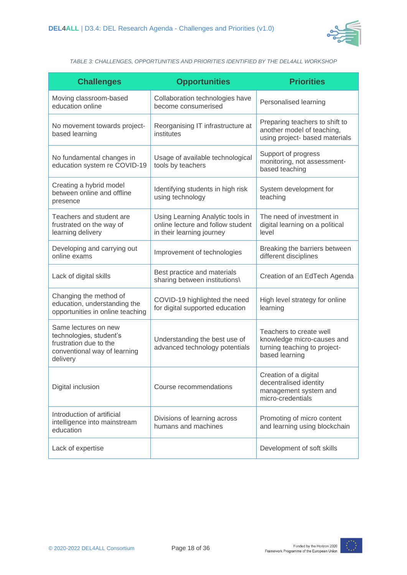

*TABLE 3: CHALLENGES, OPPORTUNITIES AND PRIORITIES IDENTIFIED BY THE DEL4ALL WORKSHOP*

| <b>Challenges</b>                                                                                                     | <b>Opportunities</b>                                                                               | <b>Priorities</b>                                                                                       |
|-----------------------------------------------------------------------------------------------------------------------|----------------------------------------------------------------------------------------------------|---------------------------------------------------------------------------------------------------------|
| Moving classroom-based<br>education online                                                                            | Collaboration technologies have<br>become consumerised                                             | Personalised learning                                                                                   |
| No movement towards project-<br>based learning                                                                        | Reorganising IT infrastructure at<br>institutes                                                    | Preparing teachers to shift to<br>another model of teaching,<br>using project- based materials          |
| No fundamental changes in<br>education system re COVID-19                                                             | Usage of available technological<br>tools by teachers                                              | Support of progress<br>monitoring, not assessment-<br>based teaching                                    |
| Creating a hybrid model<br>between online and offline<br>presence                                                     | Identifying students in high risk<br>using technology                                              | System development for<br>teaching                                                                      |
| Teachers and student are<br>frustrated on the way of<br>learning delivery                                             | Using Learning Analytic tools in<br>online lecture and follow student<br>in their learning journey | The need of investment in<br>digital learning on a political<br>level                                   |
| Developing and carrying out<br>online exams                                                                           | Improvement of technologies                                                                        | Breaking the barriers between<br>different disciplines                                                  |
| Lack of digital skills                                                                                                | Best practice and materials<br>sharing between institutions\                                       | Creation of an EdTech Agenda                                                                            |
| Changing the method of<br>education, understanding the<br>opportunities in online teaching                            | COVID-19 highlighted the need<br>for digital supported education                                   | High level strategy for online<br>learning                                                              |
| Same lectures on new<br>technologies, student's<br>frustration due to the<br>conventional way of learning<br>delivery | Understanding the best use of<br>advanced technology potentials                                    | Teachers to create well<br>knowledge micro-causes and<br>turning teaching to project-<br>based learning |
| Digital inclusion                                                                                                     | Course recommendations                                                                             | Creation of a digital<br>decentralised identity<br>management system and<br>micro-credentials           |
| Introduction of artificial<br>intelligence into mainstream<br>education                                               | Divisions of learning across<br>humans and machines                                                | Promoting of micro content<br>and learning using blockchain                                             |
| Lack of expertise                                                                                                     |                                                                                                    | Development of soft skills                                                                              |

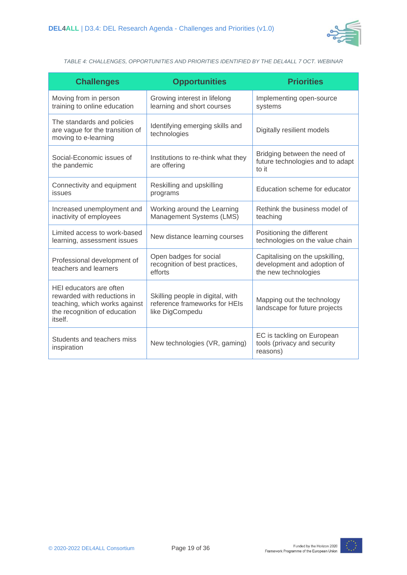

*TABLE 4: CHALLENGES, OPPORTUNITIES AND PRIORITIES IDENTIFIED BY THE DEL4ALL 7 OCT. WEBINAR*

| <b>Challenges</b>                                                                                                                  | <b>Opportunities</b>                                                                 | <b>Priorities</b>                                                                      |
|------------------------------------------------------------------------------------------------------------------------------------|--------------------------------------------------------------------------------------|----------------------------------------------------------------------------------------|
| Moving from in person<br>training to online education                                                                              | Growing interest in lifelong<br>learning and short courses                           | Implementing open-source<br>systems                                                    |
| The standards and policies<br>are vague for the transition of<br>moving to e-learning                                              | Identifying emerging skills and<br>technologies                                      | Digitally resilient models                                                             |
| Social-Economic issues of<br>the pandemic                                                                                          | Institutions to re-think what they<br>are offering                                   | Bridging between the need of<br>future technologies and to adapt<br>to it              |
| Connectivity and equipment<br>issues                                                                                               | Reskilling and upskilling<br>programs                                                | Education scheme for educator                                                          |
| Increased unemployment and<br>inactivity of employees                                                                              | Working around the Learning<br>Management Systems (LMS)                              | Rethink the business model of<br>teaching                                              |
| Limited access to work-based<br>learning, assessment issues                                                                        | New distance learning courses                                                        | Positioning the different<br>technologies on the value chain                           |
| Professional development of<br>teachers and learners                                                                               | Open badges for social<br>recognition of best practices,<br>efforts                  | Capitalising on the upskilling,<br>development and adoption of<br>the new technologies |
| HEI educators are often<br>rewarded with reductions in<br>teaching, which works against<br>the recognition of education<br>itself. | Skilling people in digital, with<br>reference frameworks for HEIs<br>like DigCompedu | Mapping out the technology<br>landscape for future projects                            |
| Students and teachers miss<br>inspiration                                                                                          | New technologies (VR, gaming)                                                        | EC is tackling on European<br>tools (privacy and security<br>reasons)                  |

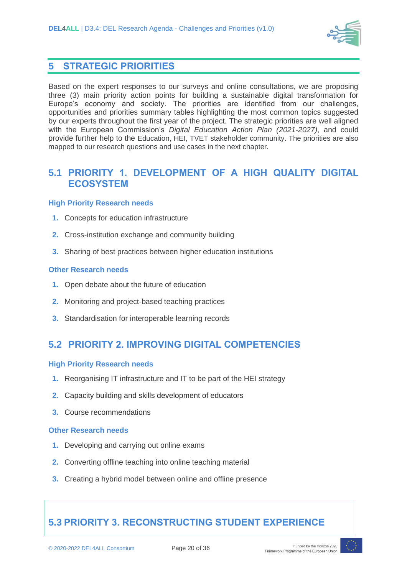

### **5 STRATEGIC PRIORITIES**

Based on the expert responses to our surveys and online consultations, we are proposing three (3) main priority action points for building a sustainable digital transformation for Europe's economy and society. The priorities are identified from our challenges, opportunities and priorities summary tables highlighting the most common topics suggested by our experts throughout the first year of the project. The strategic priorities are well aligned with the European Commission's *Digital Education Action Plan (2021-2027)*, and could provide further help to the Education, HEI, TVET stakeholder community. The priorities are also mapped to our research questions and use cases in the next chapter.

### **5.1 PRIORITY 1. DEVELOPMENT OF A HIGH QUALITY DIGITAL ECOSYSTEM**

#### **High Priority Research needs**

- **1.** Concepts for education infrastructure
- **2.** Cross-institution exchange and community building
- **3.** Sharing of best practices between higher education institutions

#### **Other Research needs**

- **1.** Open debate about the future of education
- **2.** Monitoring and project-based teaching practices
- **3.** Standardisation for interoperable learning records

# **5.2 PRIORITY 2. IMPROVING DIGITAL COMPETENCIES**

#### **High Priority Research needs**

- **1.** Reorganising IT infrastructure and IT to be part of the HEI strategy
- **2.** Capacity building and skills development of educators
- **3.** Course recommendations

#### **Other Research needs**

- **1.** Developing and carrying out online exams
- **2.** Converting offline teaching into online teaching material
- **3.** Creating a hybrid model between online and offline presence

# **5.3 PRIORITY 3. RECONSTRUCTING STUDENT EXPERIENCE**

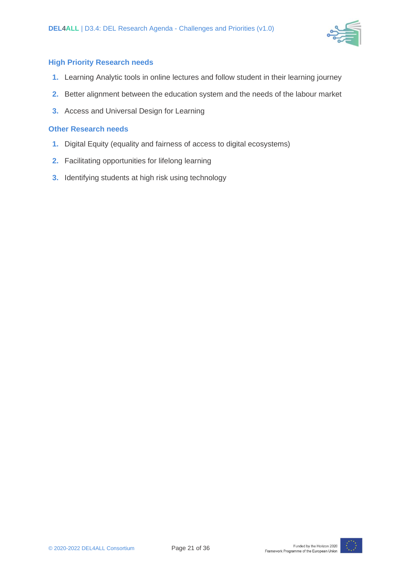

#### **High Priority Research needs**

- **1.** Learning Analytic tools in online lectures and follow student in their learning journey
- **2.** Better alignment between the education system and the needs of the labour market
- **3.** Access and Universal Design for Learning

#### **Other Research needs**

- **1.** Digital Equity (equality and fairness of access to digital ecosystems)
- **2.** Facilitating opportunities for lifelong learning
- **3.** Identifying students at high risk using technology

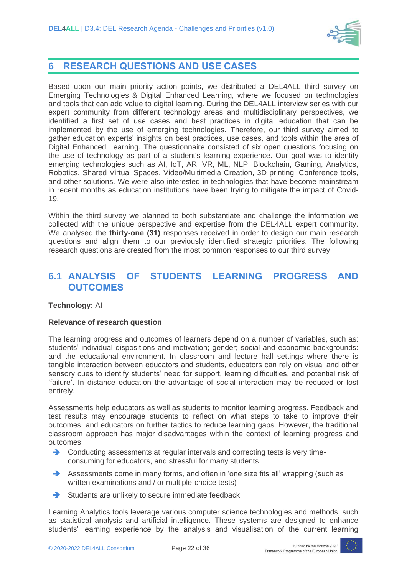

### **6 RESEARCH QUESTIONS AND USE CASES**

Based upon our main priority action points, we distributed a DEL4ALL third survey on Emerging Technologies & Digital Enhanced Learning, where we focused on technologies and tools that can add value to digital learning. During the DEL4ALL interview series with our expert community from different technology areas and multidisciplinary perspectives, we identified a first set of use cases and best practices in digital education that can be implemented by the use of emerging technologies. Therefore, our third survey aimed to gather education experts' insights on best practices, use cases, and tools within the area of Digital Enhanced Learning. The questionnaire consisted of six open questions focusing on the use of technology as part of a student's learning experience. Our goal was to identify emerging technologies such as AI, IoT, AR, VR, ML, NLP, Blockchain, Gaming, Analytics, Robotics, Shared Virtual Spaces, Video/Multimedia Creation, 3D printing, Conference tools, and other solutions. We were also interested in technologies that have become mainstream in recent months as education institutions have been trying to mitigate the impact of Covid-19.

Within the third survey we planned to both substantiate and challenge the information we collected with the unique perspective and expertise from the DEL4ALL expert community. We analysed the **thirty-one (31)** responses received in order to design our main research questions and align them to our previously identified strategic priorities. The following research questions are created from the most common responses to our third survey.

### **6.1 ANALYSIS OF STUDENTS LEARNING PROGRESS AND OUTCOMES**

#### **Technology:** AI

#### **Relevance of research question**

The learning progress and outcomes of learners depend on a number of variables, such as: students' individual dispositions and motivation; gender; social and economic backgrounds: and the educational environment. In classroom and lecture hall settings where there is tangible interaction between educators and students, educators can rely on visual and other sensory cues to identify students' need for support, learning difficulties, and potential risk of 'failure'. In distance education the advantage of social interaction may be reduced or lost entirely.

Assessments help educators as well as students to monitor learning progress. Feedback and test results may encourage students to reflect on what steps to take to improve their outcomes, and educators on further tactics to reduce learning gaps. However, the traditional classroom approach has major disadvantages within the context of learning progress and outcomes:

- **→** Conducting assessments at regular intervals and correcting tests is very timeconsuming for educators, and stressful for many students
- ➔ Assessments come in many forms, and often in 'one size fits all' wrapping (such as written examinations and / or multiple-choice tests)
- ➔ Students are unlikely to secure immediate feedback

Learning Analytics tools leverage various computer science technologies and methods, such as statistical analysis and artificial intelligence. These systems are designed to enhance students' learning experience by the analysis and visualisation of the current learning

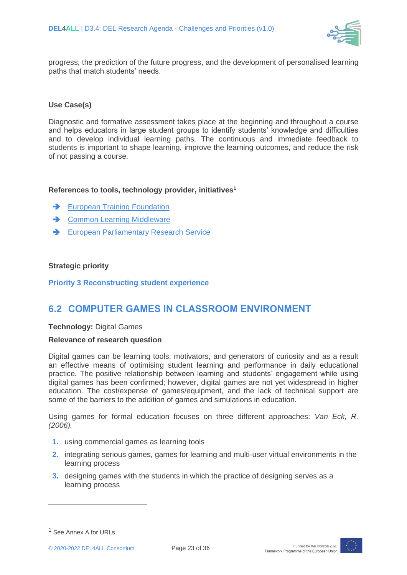

progress, the prediction of the future progress, and the development of personalised learning paths that match students' needs.

#### **Use Case(s)**

Diagnostic and formative assessment takes place at the beginning and throughout a course and helps educators in large student groups to identify students' knowledge and difficulties and to develop individual learning paths. The continuous and immediate feedback to students is important to shape learning, improve the learning outcomes, and reduce the risk of not passing a course.

#### **References to tools, technology provider, initiatives<sup>1</sup>**

- **→** [European Training Foundation](https://www.etf.europa.eu/en)
- **→** [Common Learning Middleware](https://www.fokus.fraunhofer.de/en/fame/projects/clm)
- ➔ [European Parliamentary Research Service](https://www.europarl.europa.eu/at-your-service/en/stay-informed/research-and-analysis)

#### **Strategic priority**

**Priority 3 Reconstructing student experience**

### **6.2 COMPUTER GAMES IN CLASSROOM ENVIRONMENT**

**Technology:** Digital Games

#### **Relevance of research question**

Digital games can be learning tools, motivators, and generators of curiosity and as a result an effective means of optimising student learning and performance in daily educational practice. The positive relationship between learning and students' engagement while using digital games has been confirmed; however, digital games are not yet widespread in higher education. The cost/expense of games/equipment, and the lack of technical support are some of the barriers to the addition of games and simulations in education.

Using games for formal education focuses on three different approaches: *Van Eck, R. (2006).*

- **1.** using commercial games as learning tools
- **2.** integrating serious games, games for learning and multi-user virtual environments in the learning process
- **3.** designing games with the students in which the practice of designing serves as a learning process



<sup>&</sup>lt;sup>1</sup> See Annex A for URLs.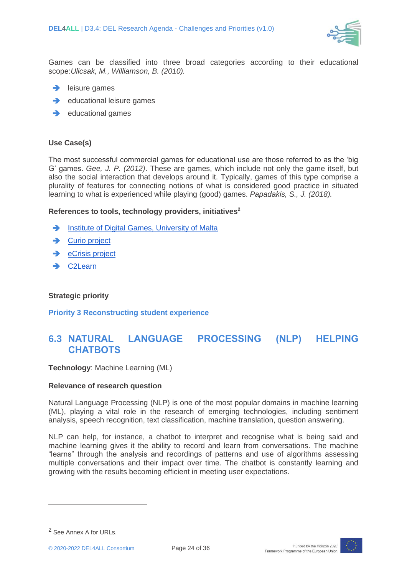

Games can be classified into three broad categories according to their educational scope:*Ulicsak, M., Williamson, B. (2010).*

- $\rightarrow$  leisure games
- **→** educational leisure games
- **→** educational games

#### **Use Case(s)**

The most successful commercial games for educational use are those referred to as the 'big G' games. *Gee, J. P. (2012)*. These are games, which include not only the game itself, but also the social interaction that develops around it. Typically, games of this type comprise a plurality of features for connecting notions of what is considered good practice in situated learning to what is experienced while playing (good) games. *[Papadakis,](https://www.researchgate.net/profile/Stamatios_Papadakis) S., J. (2018).*

#### **References to tools, technology providers, initiatives<sup>2</sup>**

- ➔ [Institute of Digital Games, University of Malta](https://www.um.edu.mt/digitalgames)
- **→** Curio project
- **→** [eCrisis project](http://ecrisis.eu/)
- C<sub>2</sub>Learn

#### **Strategic priority**

**Priority 3 Reconstructing student experience**

## **6.3 NATURAL LANGUAGE PROCESSING (NLP) HELPING CHATBOTS**

**Technology**: Machine Learning (ML)

#### **Relevance of research question**

Natural Language Processing (NLP) is one of the most popular domains in [machine learning](https://www.analyticsindiamag.com/machine-learning-nlp-training-english-to-japanese/) (ML), playing a vital role in the research of emerging technologies, including sentiment analysis, speech recognition, text classification, machine translation, question answering.

NLP can help, for instance, a chatbot to interpret and recognise what is being said and machine learning gives it the ability to record and learn from conversations. The machine "learns" through the analysis and recordings of patterns and use of algorithms assessing multiple conversations and their impact over time. The chatbot is constantly learning and growing with the results becoming efficient in meeting user expectations.



<sup>2</sup> See Annex A for URLs.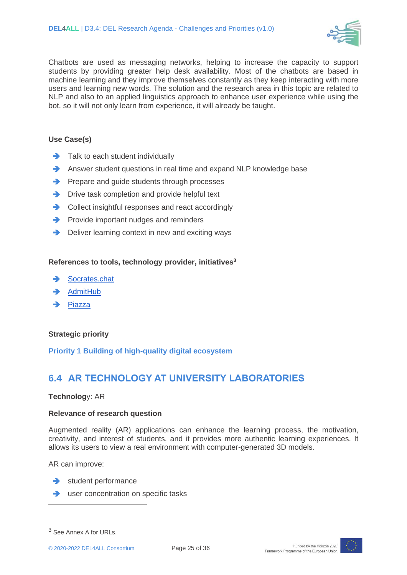

Chatbots are used as messaging networks, helping to increase the capacity to support students by providing greater help desk availability. Most of the chatbots are based in machine learning and they improve themselves constantly as they keep interacting with more users and learning new words. The solution and the research area in this topic are related to NLP and also to an applied linguistics approach to enhance user experience while using the bot, so it will not only learn from experience, it will already be taught.

#### **Use Case(s)**

- **→** Talk to each student individually
- **→** Answer student questions in real time and expand NLP knowledge base
- **→** Prepare and guide students through processes
- **→** Drive task completion and provide helpful text
- **→** Collect insightful responses and react accordingly
- **→** Provide important nudges and reminders
- **→** Deliver learning context in new and exciting ways

#### **References to tools, technology provider, initiatives<sup>3</sup>**

- [Socrates.chat](http://socrates.chat/)
- ➔ [AdmitHub](https://www.admithub.com/)
- Piazza

#### **Strategic priority**

**Priority 1 Building of high-quality digital ecosystem**

# **6.4 AR TECHNOLOGY AT UNIVERSITY LABORATORIES**

#### **Technolog**y: AR

#### **Relevance of research question**

Augmented reality (AR) applications can enhance the learning process, the motivation, creativity, and interest of students, and it provides more authentic learning experiences. It allows its users to view a real environment with computer-generated 3D models.

AR can improve:

- **→** student performance
- **→** user concentration on specific tasks



<sup>3</sup> See Annex A for URLs.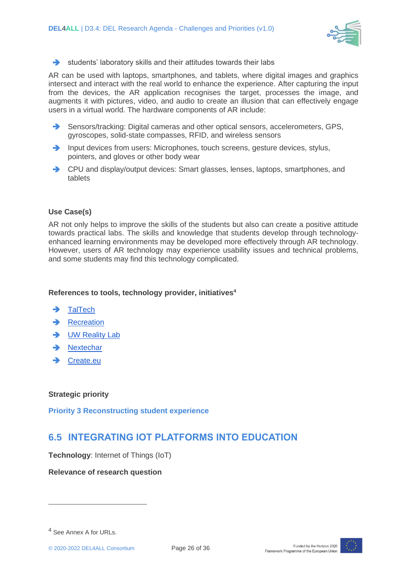

➔ students' laboratory skills and their attitudes towards their labs

AR can be used with laptops, smartphones, and tablets, where digital images and graphics intersect and interact with the real world to enhance the experience. After capturing the input from the devices, the AR application recognises the target, processes the image, and augments it with pictures, video, and audio to create an illusion that can effectively engage users in a virtual world. The hardware components of AR include:

- ➔ Sensors/tracking: Digital cameras and other optical sensors, accelerometers, GPS, gyroscopes, solid-state compasses, RFID, and wireless sensors
- ➔ Input devices from users: Microphones, touch screens, gesture devices, stylus, pointers, and gloves or other body wear
- ➔ CPU and display/output devices: Smart glasses, lenses, laptops, smartphones, and tablets

#### **Use Case(s)**

AR not only helps to improve the skills of the students but also can create a positive attitude towards practical labs. The skills and knowledge that students develop through technologyenhanced learning environments may be developed more effectively through AR technology. However, users of AR technology may experience usability issues and technical problems, and some students may find this technology complicated.

#### **References to tools, technology provider, initiatives<sup>4</sup>**

- **→** [TalTech](https://old.taltech.ee/institutes/department-of-computer-systems/research-60/research-lab/virtual-and-augmented-reality-laboratory/)
- **[Recreation](https://recreation.ee/)**
- ➔ [UW Reality Lab](https://realitylab.uw.edu/)
- ➔ [Nextechar](http://bitly.ws/aFLo)
- ➔ [Create.eu](https://www.create.eu/works/)

#### **Strategic priority**

**Priority 3 Reconstructing student experience**

# **6.5 INTEGRATING IOT PLATFORMS INTO EDUCATION**

**Technology**: Internet of Things (IoT)

**Relevance of research question**



<sup>4</sup> See Annex A for URLs.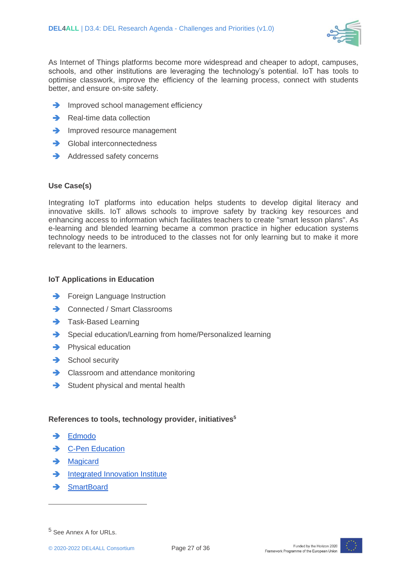

As Internet of Things platforms become more widespread and cheaper to adopt, campuses, schools, and other institutions are leveraging the technology's potential. IoT has tools to optimise classwork, improve the efficiency of the learning process, connect with students better, and ensure on-site safety.

- **→** Improved school management efficiency
- **→** Real-time data collection
- **→** Improved resource management
- **→** Global interconnectedness
- **→** Addressed safety concerns

#### **Use Case(s)**

Integrating IoT platforms into education helps students to develop digital literacy and innovative skills. IoT allows schools to improve safety by tracking key resources and enhancing access to information which facilitates teachers to create "smart lesson plans". As e-learning and blended learning became a common practice in higher education systems technology needs to be introduced to the classes not for only learning but to make it more relevant to the learners.

#### **IoT Applications in Education**

- **→** Foreign Language Instruction
- **→** Connected / Smart Classrooms
- **→** Task-Based Learning
- ➔ Special education/Learning from home/Personalized learning
- **→** Physical education
- **→** School security
- **→** Classroom and attendance monitoring
- **→** Student physical and mental health

#### **References to tools, technology provider, initiatives<sup>5</sup>**

- ➔ [Edmodo](https://new.edmodo.com/)
- **→** C-Pen Education
- ➔ [Magicard](https://magicard.com/solutions/by-industry/education/)
- **→** [Integrated Innovation Institute](https://www.cmu.edu/iii/projects-research/iot.html)
- ➔ [SmartBoard](https://www.smarttech.com/en/products/education-displays)



<sup>5</sup> See Annex A for URLs.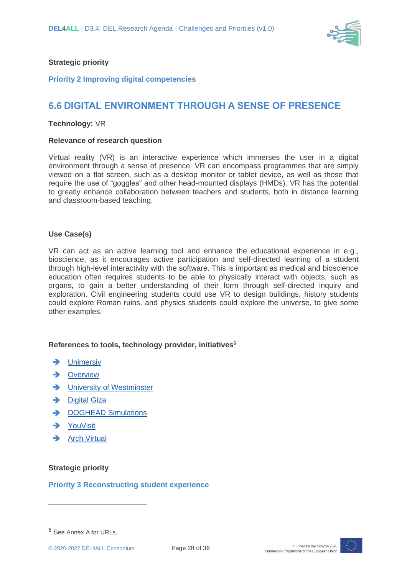

#### **Strategic priority**

#### **Priority 2 Improving digital competencies**

## **6.6 DIGITAL ENVIRONMENT THROUGH A SENSE OF PRESENCE**

#### **Technology:** VR

#### **Relevance of research question**

Virtual reality (VR) is an interactive experience which immerses the user in a digital environment through a sense of presence. VR can encompass programmes that are simply viewed on a flat screen, such as a desktop monitor or tablet device, as well as those that require the use of "goggles" and other head-mounted displays (HMDs). VR has the potential to greatly enhance collaboration between teachers and students, both in distance learning and classroom-based teaching.

#### **Use Case(s)**

VR can act as an active learning tool and enhance the educational experience in e.g., bioscience, as it encourages active participation and self-directed learning of a student through high-level interactivity with the software. This is important as medical and bioscience education often requires students to be able to physically interact with objects, such as organs, to gain a better understanding of their form through self-directed inquiry and exploration. Civil engineering students could use VR to design buildings, history students could [explore Roman ruins,](https://unimersiv.com/portfolio/) and physics students could [explore the universe,](https://www.overviewexperience.com/) to give some other examples.

#### **References to tools, technology provider, initiatives<sup>6</sup>**

- **→** [Unimersiv](https://unimersiv.com/portfolio/)
- **→** Overview
- University of Westminster
- **→** [Digital Giza](http://giza.fas.harvard.edu/)
- **→** [DOGHEAD Simulations](https://www.dogheadsimulations.com/)
- **→** [YouVisit](https://www.youvisit.com/)
- **→** [Arch Virtual](https://archvirtual.com/virtual-reality-medical/)

#### **Strategic priority**

#### **Priority 3 Reconstructing student experience**



<sup>6</sup> See Annex A for URLs.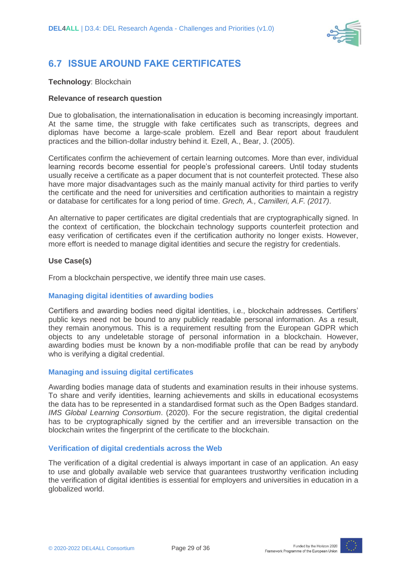

# **6.7 ISSUE AROUND FAKE CERTIFICATES**

#### **Technology**: Blockchain

#### **Relevance of research question**

Due to globalisation, the internationalisation in education is becoming increasingly important. At the same time, the struggle with fake certificates such as transcripts, degrees and diplomas have become a large-scale problem. Ezell and Bear report about fraudulent practices and the billion-dollar industry behind it. Ezell, A., Bear, J. (2005).

Certificates confirm the achievement of certain learning outcomes. More than ever, individual learning records become essential for people's professional careers. Until today students usually receive a certificate as a paper document that is not counterfeit protected. These also have more major disadvantages such as the mainly manual activity for third parties to verify the certificate and the need for universities and certification authorities to maintain a registry or database for certificates for a long period of time. *Grech, A., Camilleri, A.F. (2017)*.

An alternative to paper certificates are digital credentials that are cryptographically signed. In the context of certification, the blockchain technology supports counterfeit protection and easy verification of certificates even if the certification authority no longer exists. However, more effort is needed to manage digital identities and secure the registry for credentials.

#### **Use Case(s)**

From a blockchain perspective, we identify three main use cases.

#### **Managing digital identities of awarding bodies**

Certifiers and awarding bodies need digital identities, i.e., blockchain addresses. Certifiers' public keys need not be bound to any publicly readable personal information. As a result, they remain anonymous. This is a requirement resulting from the European GDPR which objects to any undeletable storage of personal information in a blockchain. However, awarding bodies must be known by a non-modifiable profile that can be read by anybody who is verifying a digital credential.

#### **Managing and issuing digital certificates**

Awarding bodies manage data of students and examination results in their inhouse systems. To share and verify identities, learning achievements and skills in educational ecosystems the data has to be represented in a standardised format such as the Open Badges standard. *IMS Global Learning Consortium*. (2020). For the secure registration, the digital credential has to be cryptographically signed by the certifier and an irreversible transaction on the blockchain writes the fingerprint of the certificate to the blockchain.

#### **Verification of digital credentials across the Web**

The verification of a digital credential is always important in case of an application. An easy to use and globally available web service that guarantees trustworthy verification including the verification of digital identities is essential for employers and universities in education in a globalized world.

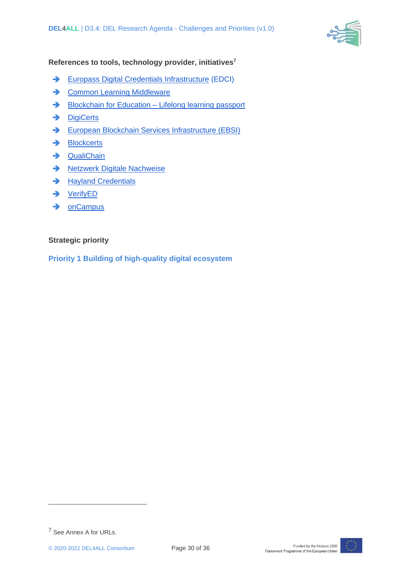

#### **References to tools, technology provider, initiatives<sup>7</sup>**

- ➔ [Europass Digital Credentials Infrastructure](https://europa.eu/europass/digital-credentials/issuer/#/home%20Common) (EDCI)
- **→ [Common Learning Middleware](https://www.academy.fraunhofer.de/de/newsroom/blog/2019/12/fraunhofer-common-learning-middleware--so-finden-die-teile-des-l.html)**
- → [Blockchain for Education –](https://www.fit.fraunhofer.de/en/fb/cscw/projects/blockchain-for-education.html) Lifelong learning passport
- **→** [DigiCerts](https://www.digicerts.de/)
- **→** [European Blockchain Services Infrastructure \(EBSI\)](https://ec.europa.eu/cefdigital/wiki/display/CEFDIGITAL/EBSI)
- ➔ [Blockcerts](https://www.blockcerts.org/about.html)
- ➔ [QualiChain](https://qualichain-project.eu/)
- **→** [Netzwerk Digitale Nachweise](http://netzwerkdigitalenachweise.de/)
- **→** [Hayland Credentials](https://www.hylandcredentials.com/)
- ➔ [VerifyED](https://verifyed.io/)
- ➔ [onCampus](https://www.oncampus.de/)

#### **Strategic priority**

**Priority 1 Building of high-quality digital ecosystem**



<sup>7</sup> See Annex A for URLs.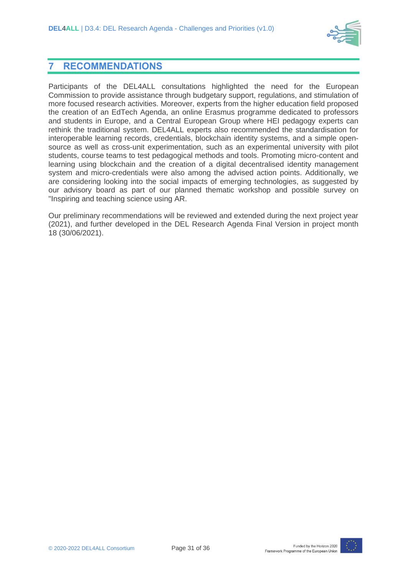

### **7 RECOMMENDATIONS**

Participants of the DEL4ALL consultations highlighted the need for the European Commission to provide assistance through budgetary support, regulations, and stimulation of more focused research activities. Moreover, experts from the higher education field proposed the creation of an EdTech Agenda, an online Erasmus programme dedicated to professors and students in Europe, and a Central European Group where HEI pedagogy experts can rethink the traditional system. DEL4ALL experts also recommended the standardisation for interoperable learning records, credentials, blockchain identity systems, and a simple opensource as well as cross-unit experimentation, such as an experimental university with pilot students, course teams to test pedagogical methods and tools. Promoting micro-content and learning using blockchain and the creation of a digital decentralised identity management system and micro-credentials were also among the advised action points. Additionally, we are considering looking into the social impacts of emerging technologies, as suggested by our advisory board as part of our planned thematic workshop and possible survey on "Inspiring and teaching science using AR.

Our preliminary recommendations will be reviewed and extended during the next project year (2021), and further developed in the DEL Research Agenda Final Version in project month 18 (30/06/2021).

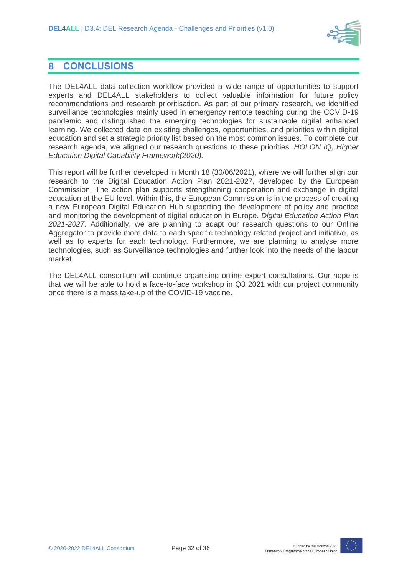

### **8 CONCLUSIONS**

The DEL4ALL data collection workflow provided a wide range of opportunities to support experts and DEL4ALL stakeholders to collect valuable information for future policy recommendations and research prioritisation. As part of our primary research, we identified surveillance technologies mainly used in emergency remote teaching during the COVID-19 pandemic and distinguished the emerging technologies for sustainable digital enhanced learning. We collected data on existing challenges, opportunities, and priorities within digital education and set a strategic priority list based on the most common issues. To complete our research agenda, we aligned our research questions to these priorities. *HOLON IQ, Higher Education Digital Capability Framework(2020).*

This report will be further developed in Month 18 (30/06/2021), where we will further align our research to the Digital Education Action Plan 2021-2027, developed by the European Commission. The action plan supports strengthening cooperation and exchange in digital education at the EU level. Within this, the European Commission is in the process of creating a new European Digital Education Hub supporting the development of policy and practice and monitoring the development of digital education in Europe. *Digital Education Action Plan 2021-2027.* Additionally, we are planning to adapt our research questions to our Online Aggregator to provide more data to each specific technology related project and initiative, as well as to experts for each technology. Furthermore, we are planning to analyse more technologies, such as Surveillance technologies and further look into the needs of the labour market.

The DEL4ALL consortium will continue organising online expert consultations. Our hope is that we will be able to hold a face-to-face workshop in Q3 2021 with our project community once there is a mass take-up of the COVID-19 vaccine.

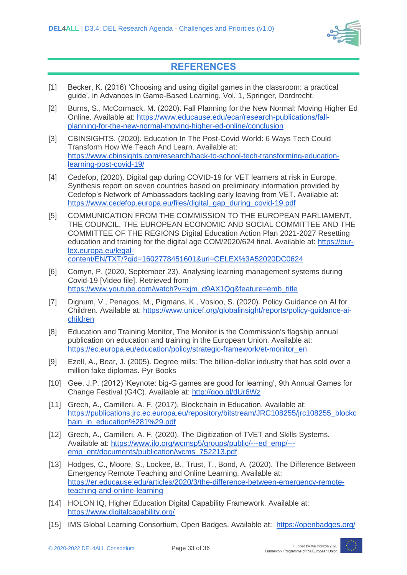

# **REFERENCES**

- [1] Becker, K. (2016) 'Choosing and using digital games in the classroom: a practical guide', in Advances in Game-Based Learning, Vol. 1, Springer, Dordrecht.
- [2] Burns, S., McCormack, M. (2020). Fall Planning for the New Normal: Moving Higher Ed Online. Available at: [https://www.educause.edu/ecar/research-publications/fall](https://www.educause.edu/ecar/research-publications/fall-planning-for-the-new-normal-moving-higher-ed-online/conclusion)[planning-for-the-new-normal-moving-higher-ed-online/conclusion](https://www.educause.edu/ecar/research-publications/fall-planning-for-the-new-normal-moving-higher-ed-online/conclusion)
- [3] CBINSIGHTS. (2020). Education In The Post-Covid World: 6 Ways Tech Could Transform How We Teach And Learn. Available at[:](https://www.cbinsights.com/research/back-to-school-tech-transforming-education-learning-post-covid-19/) [https://www.cbinsights.com/research/back-to-school-tech-transforming-education](https://www.cbinsights.com/research/back-to-school-tech-transforming-education-learning-post-covid-19/)[learning-post-covid-19/](https://www.cbinsights.com/research/back-to-school-tech-transforming-education-learning-post-covid-19/)
- [4] Cedefop, (2020). Digital gap during COVID-19 for VET learners at risk in Europe. Synthesis report on seven countries based on preliminary information provided by Cedefop's Network of Ambassadors tackling early leaving from VET. Available at: [https://www.cedefop.europa.eu/files/digital\\_gap\\_during\\_covid-19.pdf](https://www.cedefop.europa.eu/files/digital_gap_during_covid-19.pdf)
- [5] COMMUNICATION FROM THE COMMISSION TO THE EUROPEAN PARLIAMENT, THE COUNCIL, THE EUROPEAN ECONOMIC AND SOCIAL COMMITTEE AND THE COMMITTEE OF THE REGIONS Digital Education Action Plan 2021-2027 Resetting education and training for the digital age COM/2020/624 final. Available at: [https://eur](https://eur-lex.europa.eu/legal-content/EN/TXT/?qid=1602778451601&uri=CELEX%3A52020DC0624)[lex.europa.eu/legal](https://eur-lex.europa.eu/legal-content/EN/TXT/?qid=1602778451601&uri=CELEX%3A52020DC0624)[content/EN/TXT/?qid=1602778451601&uri=CELEX%3A52020DC0624](https://eur-lex.europa.eu/legal-content/EN/TXT/?qid=1602778451601&uri=CELEX%3A52020DC0624)
- [6] Comyn, P. (2020, September 23). Analysing learning management systems during Covid-19 [Video file]. Retrieved from [https://www.youtube.com/watch?v=xjm\\_d9AX1Qg&feature=emb\\_title](https://www.youtube.com/watch?v=xjm_d9AX1Qg&feature=emb_title)
- [7] Dignum, V., Penagos, M., Pigmans, K., Vosloo, S. (2020). Policy Guidance on AI for Children. Available at: [https://www.unicef.org/globalinsight/reports/policy-guidance-ai](https://www.unicef.org/globalinsight/reports/policy-guidance-ai-children)[children](https://www.unicef.org/globalinsight/reports/policy-guidance-ai-children)
- [8] Education and Training Monitor, The Monitor is the Commission's flagship annual publication on education and training in the European Union. Available at[:](https://ec.europa.eu/education/policy/strategic-framework/et-monitor_en) [https://ec.europa.eu/education/policy/strategic-framework/et-monitor\\_en](https://ec.europa.eu/education/policy/strategic-framework/et-monitor_en)
- [9] Ezell, A., Bear, J. (2005). Degree mills: The billion-dollar industry that has sold over a million fake diplomas. Pyr Books
- [10] Gee, J.P. (2012) 'Keynote: big-G games are good for learning', 9th Annual Games for Change Festival (G4C). Available at:<http://goo.gl/dUr6Wz>
- [11] Grech, A., Camilleri, A. F. (2017). Blockchain in Education. Available at: [https://publications.jrc.ec.europa.eu/repository/bitstream/JRC108255/jrc108255\\_blockc](https://publications.jrc.ec.europa.eu/repository/bitstream/JRC108255/jrc108255_blockchain_in_education%281%29.pdf) [hain\\_in\\_education%281%29.pdf](https://publications.jrc.ec.europa.eu/repository/bitstream/JRC108255/jrc108255_blockchain_in_education%281%29.pdf)
- [12] Grech, A., Camilleri, A. F. (2020). The Digitization of TVET and Skills Systems. Available at: [https://www.ilo.org/wcmsp5/groups/public/---ed\\_emp/--](https://www.ilo.org/wcmsp5/groups/public/---ed_emp/---emp_ent/documents/publication/wcms_752213.pdf) [emp\\_ent/documents/publication/wcms\\_752213.pdf](https://www.ilo.org/wcmsp5/groups/public/---ed_emp/---emp_ent/documents/publication/wcms_752213.pdf)
- [13] Hodges, C., Moore, S., Lockee, B., Trust, T., Bond, A. (2020). The Difference Between Emergency Remote Teaching and Online Learning. Available at: [https://er.educause.edu/articles/2020/3/the-difference-between-emergency-remote](https://er.educause.edu/articles/2020/3/the-difference-between-emergency-remote-teaching-and-online-learning)[teaching-and-online-learning](https://er.educause.edu/articles/2020/3/the-difference-between-emergency-remote-teaching-and-online-learning)
- [14] HOLON IQ, Higher Education Digital Capability Framework. Available at: <https://www.digitalcapability.org/>
- [15] IMS Global Learning Consortium, Open Badges. Available at: <https://openbadges.org/>

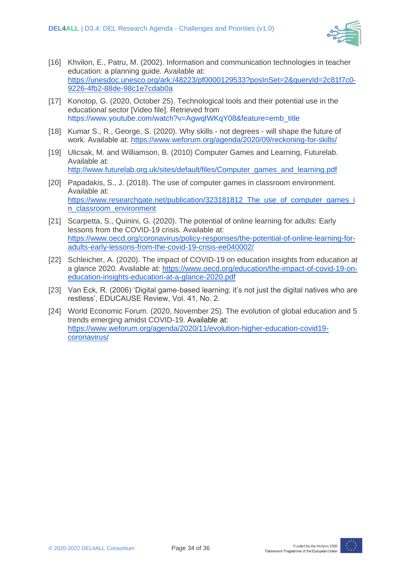

- [16] Khvilon, E., Patru, M. (2002). Information and communication technologies in teacher education: a planning guide. Available at: [https://unesdoc.unesco.org/ark:/48223/pf0000129533?posInSet=2&queryId=2c81f7c0-](https://unesdoc.unesco.org/ark:/48223/pf0000129533?posInSet=2&queryId=2c81f7c0-9226-4fb2-88de-98c1e7cdab0a) [9226-4fb2-88de-98c1e7cdab0a](https://unesdoc.unesco.org/ark:/48223/pf0000129533?posInSet=2&queryId=2c81f7c0-9226-4fb2-88de-98c1e7cdab0a)
- [17] Konotop, G. (2020, October 25). Technological tools and their potential use in the educational sector [Video file]. Retrieved from https://www.youtube.com/watch?v=AgwqIWKqY08&feature=emb\_title
- [18] Kumar S., R., George, S. (2020). Why skills not degrees will shape the future of work. Available at:<https://www.weforum.org/agenda/2020/09/reckoning-for-skills/>
- [19] Ulicsak, M. and Williamson, B. (2010) Computer Games and Learning, Futurelab. Available at: [http://www.futurelab.org.uk/sites/default/files/Computer\\_games\\_and\\_learning.pdf](http://www.futurelab.org.uk/sites/default/files/Computer_games_and_learning.pdf)
- [20] [Papadakis,](https://www.researchgate.net/profile/Stamatios_Papadakis) S., J. (2018). The use of computer games in classroom environment. Available at: https://www.researchgate.net/publication/323181812\_The\_use\_of\_computer\_games\_i n\_classroom\_environment
- [21] Scarpetta, S., Quinini, G. (2020). The potential of online learning for adults: Early lessons from the COVID-19 crisis. Available at: [https://www.oecd.org/coronavirus/policy-responses/the-potential-of-online-learning-for](https://www.oecd.org/coronavirus/policy-responses/the-potential-of-online-learning-for-adults-early-lessons-from-the-covid-19-crisis-ee040002/)[adults-early-lessons-from-the-covid-19-crisis-ee040002/](https://www.oecd.org/coronavirus/policy-responses/the-potential-of-online-learning-for-adults-early-lessons-from-the-covid-19-crisis-ee040002/)
- [22] Schleicher, A. (2020). The impact of COVID-19 on education insights from education at a glance 2020. Available at: [https://www.oecd.org/education/the-impact-of-covid-19-on](https://www.oecd.org/education/the-impact-of-covid-19-on-education-insights-education-at-a-glance-2020.pdf)[education-insights-education-at-a-glance-2020.pdf](https://www.oecd.org/education/the-impact-of-covid-19-on-education-insights-education-at-a-glance-2020.pdf)
- [23] Van Eck, R. (2006) 'Digital game-based learning: it's not just the digital natives who are restless', EDUCAUSE Review, Vol. 41, No. 2.
- [24] World Economic Forum. (2020, November 25). The evolution of global education and 5 trends emerging amidst COVID-19. Available at[:](https://www.weforum.org/agenda/2020/11/evolution-higher-education-covid19-coronavirus/) [https://www.weforum.org/agenda/2020/11/evolution-higher-education-covid19](https://www.weforum.org/agenda/2020/11/evolution-higher-education-covid19-coronavirus/) [coronavirus/](https://www.weforum.org/agenda/2020/11/evolution-higher-education-covid19-coronavirus/)

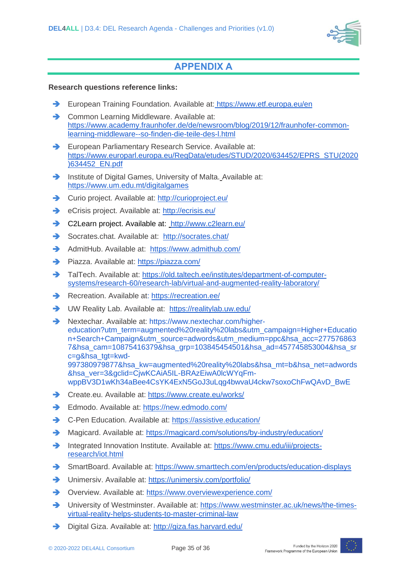

# **APPENDIX A**

#### **Research questions reference links:**

- ➔ European Training Foundation. Available at: https://www.etf.europa.eu/en
- ➔ Common Learning Middleware. Available at: [https://www.academy.fraunhofer.de/de/newsroom/blog/2019/12/fraunhofer-common](https://www.academy.fraunhofer.de/de/newsroom/blog/2019/12/fraunhofer-common-learning-middleware--so-finden-die-teile-des-l.html)[learning-middleware--so-finden-die-teile-des-l.html](https://www.academy.fraunhofer.de/de/newsroom/blog/2019/12/fraunhofer-common-learning-middleware--so-finden-die-teile-des-l.html)
- ➔ European Parliamentary Research Service. Available at: https://www.europarl.europa.eu/RegData/etudes/STUD/2020/634452/EPRS\_STU(2020 )634452\_EN.pdf
- ➔ [Institute of Digital Games, University of Malta.](https://www.um.edu.mt/digitalgames) [Available at:](https://www.um.edu.mt/digitalgames)  <https://www.um.edu.mt/digitalgames>
- **→** [Curio project.](http://curioproject.eu/) Available at:<http://curioproject.eu/>
- ➔ eCrisis project. Available at: <http://ecrisis.eu/>
- ➔ C2Learn project. Available at: <http://www.c2learn.eu/>
- ➔ Socrates.chat. Available at: <http://socrates.chat/>
- ➔ AdmitHub. Available at: <https://www.admithub.com/>
- ➔ Piazza. Available at: https://piazza.com/
- → TalTech. Available at: [https://old.taltech.ee/institutes/department-of-computer](https://old.taltech.ee/institutes/department-of-computer-systems/research-60/research-lab/virtual-and-augmented-reality-laboratory/)[systems/research-60/research-lab/virtual-and-augmented-reality-laboratory/](https://old.taltech.ee/institutes/department-of-computer-systems/research-60/research-lab/virtual-and-augmented-reality-laboratory/)
- **→** Recreation. Available at:<https://recreation.ee/>
- **→** UW Reality Lab. Available at: <https://realitylab.uw.edu/>
- ➔ Nextechar. Available at: https://www.nextechar.com/highereducation?utm\_term=augmented%20reality%20labs&utm\_campaign=Higher+Educatio n+Search+Campaign&utm\_source=adwords&utm\_medium=ppc&hsa\_acc=277576863 7&hsa\_cam=10875416379&hsa\_grp=103845454501&hsa\_ad=457745853004&hsa\_sr c=g&hsa\_tgt=kwd-997380979877&hsa\_kw=augmented%20reality%20labs&hsa\_mt=b&hsa\_net=adwords &hsa\_ver=3&gclid=CjwKCAiA5IL-BRAzEiwA0lcWYqFmwppBV3D1wKh34aBee4CsYK4ExN5GoJ3uLqg4bwvaU4ckw7soxoChFwQAvD\_BwE
- ➔ Create.eu. Available at:<https://www.create.eu/works/>
- ➔ Edmodo. Available at:<https://new.edmodo.com/>
- **→** C-Pen Education. Available at: <https://assistive.education/>
- → Magicard. Available at:<https://magicard.com/solutions/by-industry/education/>
- ➔ Integrated Innovation Institute. Available at: [https://www.cmu.edu/iii/projects](https://www.cmu.edu/iii/projects-research/iot.html)[research/iot.html](https://www.cmu.edu/iii/projects-research/iot.html)
- ➔ SmartBoard. Available at: <https://www.smarttech.com/en/products/education-displays>
- ➔ Unimersiv. Available at: <https://unimersiv.com/portfolio/>
- ➔ Overview. Available at:<https://www.overviewexperience.com/>
- → University of Westminster. Available at: [https://www.westminster.ac.uk/news/the-times](https://www.westminster.ac.uk/news/the-times-virtual-reality-helps-students-to-master-criminal-law)[virtual-reality-helps-students-to-master-criminal-law](https://www.westminster.ac.uk/news/the-times-virtual-reality-helps-students-to-master-criminal-law)
- ➔ Digital Giza. Available at:<http://giza.fas.harvard.edu/>